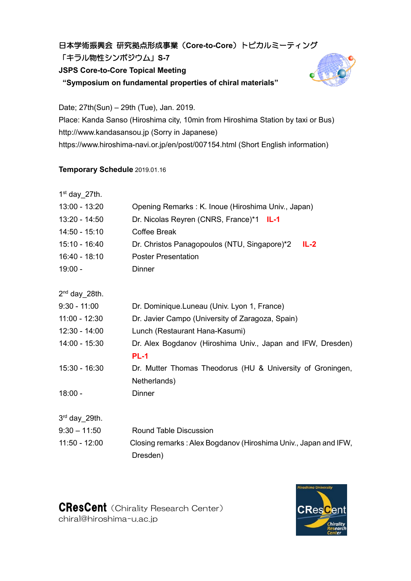## 日本学術振興会 研究拠点形成事業(**Core-to-Core**)トピカルミーティング

「キラル物性シンポジウム」**S-7**

**JSPS Core-to-Core Topical Meeting**

**"Symposium on fundamental properties of chiral materials"**



Date; 27th(Sun) – 29th (Tue), Jan. 2019. Place: Kanda Sanso (Hiroshima city, 10min from Hiroshima Station by taxi or Bus) http://www.kandasansou.jp (Sorry in Japanese) https://www.hiroshima-navi.or.jp/en/post/007154.html (Short English information)

## **Temporary Schedule** 2019.01.16

| $1st$ day 27th. |                                                                 |
|-----------------|-----------------------------------------------------------------|
| 13:00 - 13:20   | Opening Remarks: K. Inoue (Hiroshima Univ., Japan)              |
| 13:20 - 14:50   | Dr. Nicolas Reyren (CNRS, France)*1 IL-1                        |
| $14:50 - 15:10$ | <b>Coffee Break</b>                                             |
| 15:10 - 16:40   | Dr. Christos Panagopoulos (NTU, Singapore)*2<br>$IL-2$          |
| 16:40 - 18:10   | <b>Poster Presentation</b>                                      |
| $19:00 -$       | <b>Dinner</b>                                                   |
| $2nd$ day 28th. |                                                                 |
| $9:30 - 11:00$  | Dr. Dominique.Luneau (Univ. Lyon 1, France)                     |
| $11:00 - 12:30$ | Dr. Javier Campo (University of Zaragoza, Spain)                |
| $12:30 - 14:00$ | Lunch (Restaurant Hana-Kasumi)                                  |
| $14:00 - 15:30$ | Dr. Alex Bogdanov (Hiroshima Univ., Japan and IFW, Dresden)     |
|                 | <b>PL-1</b>                                                     |
| 15:30 - 16:30   | Dr. Mutter Thomas Theodorus (HU & University of Groningen,      |
|                 | Netherlands)                                                    |
| $18:00 -$       | <b>Dinner</b>                                                   |
| 3rd day 29th.   |                                                                 |
| $9:30 - 11:50$  | <b>Round Table Discussion</b>                                   |
| $11:50 - 12:00$ | Closing remarks: Alex Bogdanov (Hiroshima Univ., Japan and IFW, |
|                 | Dresden)                                                        |
|                 |                                                                 |